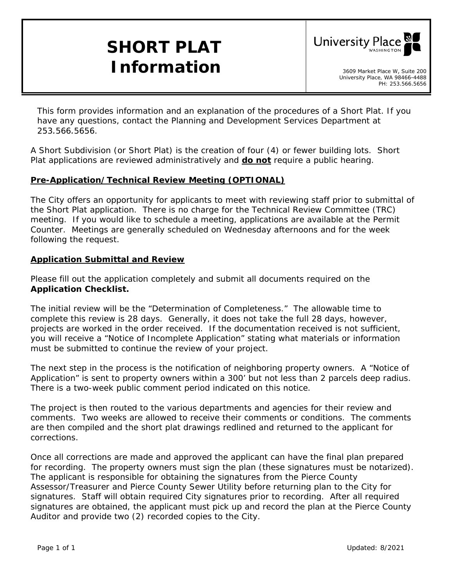# **SHORT PLAT**  *Information* and *Information*



*This form provides information and an explanation of the procedures of a Short Plat. If you have any questions, contact the Planning and Development Services Department at 253.566.5656.* 

A Short Subdivision (or Short Plat) is the creation of four (4) or fewer building lots. Short Plat applications are reviewed administratively and **do not** require a public hearing.

#### **Pre-Application/Technical Review Meeting (OPTIONAL)**

The City offers an opportunity for applicants to meet with reviewing staff prior to submittal of the Short Plat application. There is no charge for the Technical Review Committee (TRC) meeting. If you would like to schedule a meeting, applications are available at the Permit Counter. Meetings are generally scheduled on Wednesday afternoons and for the week following the request.

#### **Application Submittal and Review**

Please fill out the application completely and submit all documents required on the *Application Checklist.* 

The initial review will be the *"Determination of Completeness."* The allowable time to complete this review is 28 days. Generally, it does not take the full 28 days, however, projects are worked in the order received. If the documentation received is not sufficient, you will receive a *"Notice of Incomplete Application"* stating what materials or information must be submitted to continue the review of your project.

The next step in the process is the notification of neighboring property owners. A *"Notice of Application"* is sent to property owners within a 300' but not less than 2 parcels deep radius. There is a two-week public comment period indicated on this notice.

The project is then routed to the various departments and agencies for their review and comments. Two weeks are allowed to receive their comments or conditions. The comments are then compiled and the short plat drawings redlined and returned to the applicant for corrections.

Once all corrections are made and approved the applicant can have the final plan prepared for recording. The property owners must sign the plan (these signatures must be notarized). The applicant is responsible for obtaining the signatures from the Pierce County Assessor/Treasurer and Pierce County Sewer Utility before returning plan to the City for signatures. Staff will obtain required City signatures prior to recording. After all required signatures are obtained, the applicant must pick up and record the plan at the Pierce County Auditor and provide two (2) recorded copies to the City.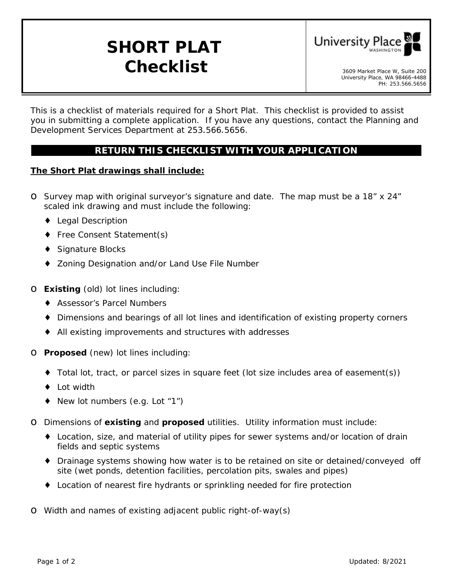# **SHORT PLAT**  $\boldsymbol{Checklist}$   $\bullet$  3609 Market Place W, Suite 200



University Place, WA 98466-4488 PH: 253.566.5656

*This is a checklist of materials required for a Short Plat. This checklist is provided to assist you in submitting a complete application. If you have any questions, contact the Planning and Development Services Department at 253.566.5656.* 

## **RETURN THIS CHECKLIST WITH YOUR APPLICATION**

#### **The Short Plat drawings shall include:**

- o Survey map with original surveyor's signature and date. The map must be a 18" x 24" scaled ink drawing and must include the following:
	- Legal Description
	- Free Consent Statement(s)
	- $\ddot{\phantom{a}}$ Signature Blocks
	- Zoning Designation and/or Land Use File Number

#### o **Existing** (old) lot lines including:

- Assessor's Parcel Numbers
- .. Dimensions and bearings of all lot lines and identification of existing property corners
- All existing improvements and structures with addresses

#### o **Proposed** (new) lot lines including:

- Total lot, tract, or parcel sizes in square feet (lot size includes area of easement(s))
- Lot width
- New lot numbers (e.g. Lot "1")
- o Dimensions of **existing** and **proposed** utilities. Utility information must include:
	- Location, size, and material of utility pipes for sewer systems and/or location of drain fields and septic systems
	- $\blacksquare$ Drainage systems showing how water is to be retained on site or detained/conveyed off site (wet ponds, detention facilities, percolation pits, swales and pipes)
	- Location of nearest fire hydrants or sprinkling needed for fire protection

o Width and names of existing adjacent public right-of-way(s)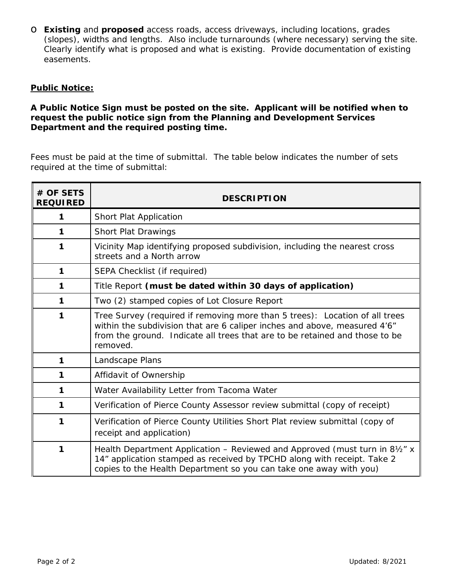o **Existing** and **proposed** access roads, access driveways, including locations, grades (slopes), widths and lengths. Also include turnarounds (where necessary) serving the site. Clearly identify what is proposed and what is existing. Provide documentation of existing easements.

#### **Public Notice:**

#### **A Public Notice Sign must be posted on the site. Applicant will be notified when to request the public notice sign from the Planning and Development Services Department and the required posting time.**

Fees must be paid at the time of submittal. The table below indicates the number of sets required at the time of submittal:

| # OF SETS<br><b>REQUIRED</b> | <b>DESCRIPTION</b>                                                                                                                                                                                                                                  |
|------------------------------|-----------------------------------------------------------------------------------------------------------------------------------------------------------------------------------------------------------------------------------------------------|
| 1                            | Short Plat Application                                                                                                                                                                                                                              |
| 1                            | <b>Short Plat Drawings</b>                                                                                                                                                                                                                          |
| 1                            | Vicinity Map identifying proposed subdivision, including the nearest cross<br>streets and a North arrow                                                                                                                                             |
| 1                            | SEPA Checklist (if required)                                                                                                                                                                                                                        |
| 1                            | Title Report (must be dated within 30 days of application)                                                                                                                                                                                          |
| $\mathbf{1}$                 | Two (2) stamped copies of Lot Closure Report                                                                                                                                                                                                        |
| $\mathbf{1}$                 | Tree Survey (required if removing more than 5 trees): Location of all trees<br>within the subdivision that are 6 caliper inches and above, measured 4'6"<br>from the ground. Indicate all trees that are to be retained and those to be<br>removed. |
| 1                            | Landscape Plans                                                                                                                                                                                                                                     |
| 1                            | Affidavit of Ownership                                                                                                                                                                                                                              |
| 1                            | Water Availability Letter from Tacoma Water                                                                                                                                                                                                         |
| 1                            | Verification of Pierce County Assessor review submittal (copy of receipt)                                                                                                                                                                           |
| 1                            | Verification of Pierce County Utilities Short Plat review submittal (copy of<br>receipt and application)                                                                                                                                            |
| 1                            | Health Department Application - Reviewed and Approved (must turn in 81/2" x<br>14" application stamped as received by TPCHD along with receipt. Take 2<br>copies to the Health Department so you can take one away with you)                        |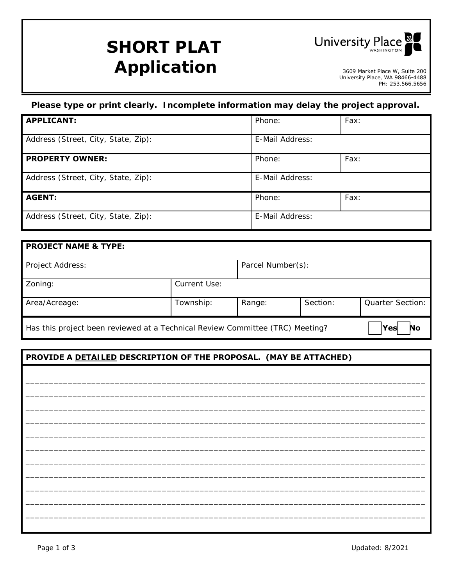# **SHORT PLAT Application**



3609 Market Place W, Suite 200<br>University Place, WA 98466-4488 PH: 253.566.5656

## *Please type or print clearly. Incomplete information may delay the project approval.*

| <b>APPLICANT:</b>                   | Phone:          | Fax: |
|-------------------------------------|-----------------|------|
| Address (Street, City, State, Zip): | E-Mail Address: |      |
| <b>PROPERTY OWNER:</b>              | Phone:          | Fax: |
| Address (Street, City, State, Zip): | E-Mail Address: |      |
| <b>AGENT:</b>                       | Phone:          | Fax: |
| Address (Street, City, State, Zip): | E-Mail Address: |      |

| <b>PROJECT NAME &amp; TYPE:</b>                                               |              |                   |          |                         |
|-------------------------------------------------------------------------------|--------------|-------------------|----------|-------------------------|
| Project Address:                                                              |              | Parcel Number(s): |          |                         |
| Zoning:                                                                       | Current Use: |                   |          |                         |
| Area/Acreage:                                                                 | Township:    | Range:            | Section: | <b>Quarter Section:</b> |
| Has this project been reviewed at a Technical Review Committee (TRC) Meeting? |              |                   |          | Yesl<br>No              |

## **PROVIDE A** *DETAILED* **DESCRIPTION OF THE PROPOSAL. (MAY BE ATTACHED)**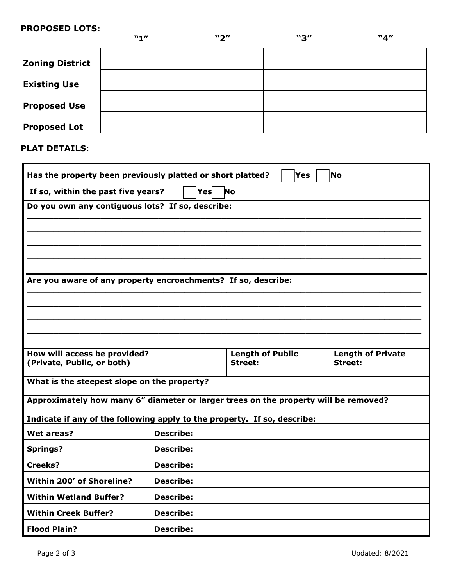#### **PROPOSED LOTS:**

|                        | "1" | $\mathbf{y}$ | "3" | "4" |
|------------------------|-----|--------------|-----|-----|
| <b>Zoning District</b> |     |              |     |     |
| <b>Existing Use</b>    |     |              |     |     |
| <b>Proposed Use</b>    |     |              |     |     |
| <b>Proposed Lot</b>    |     |              |     |     |

**PLAT DETAILS:** 

| Has the property been previously platted or short platted?<br><b>No</b><br>Yes      |                  |                         |                          |
|-------------------------------------------------------------------------------------|------------------|-------------------------|--------------------------|
| If so, within the past five years?                                                  | Yes              | <b>No</b>               |                          |
| Do you own any contiguous lots? If so, describe:                                    |                  |                         |                          |
|                                                                                     |                  |                         |                          |
|                                                                                     |                  |                         |                          |
|                                                                                     |                  |                         |                          |
|                                                                                     |                  |                         |                          |
| Are you aware of any property encroachments? If so, describe:                       |                  |                         |                          |
|                                                                                     |                  |                         |                          |
|                                                                                     |                  |                         |                          |
|                                                                                     |                  |                         |                          |
| How will access be provided?                                                        |                  | <b>Length of Public</b> | <b>Length of Private</b> |
| (Private, Public, or both)                                                          |                  | Street:                 | <b>Street:</b>           |
| What is the steepest slope on the property?                                         |                  |                         |                          |
| Approximately how many 6" diameter or larger trees on the property will be removed? |                  |                         |                          |
| Indicate if any of the following apply to the property. If so, describe:            |                  |                         |                          |
| Wet areas?                                                                          | <b>Describe:</b> |                         |                          |
| <b>Springs?</b>                                                                     | <b>Describe:</b> |                         |                          |
| Creeks?                                                                             | <b>Describe:</b> |                         |                          |
| Within 200' of Shoreline?                                                           | <b>Describe:</b> |                         |                          |
| <b>Within Wetland Buffer?</b>                                                       | <b>Describe:</b> |                         |                          |
| <b>Within Creek Buffer?</b>                                                         | <b>Describe:</b> |                         |                          |
| <b>Flood Plain?</b>                                                                 | <b>Describe:</b> |                         |                          |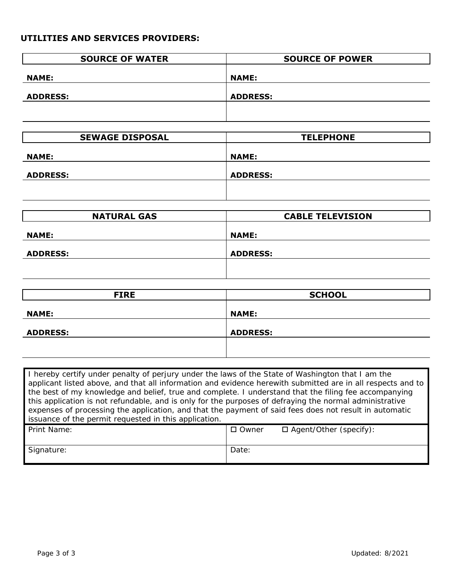## **UTILITIES AND SERVICES PROVIDERS:**

| <b>SOURCE OF WATER</b> | <b>SOURCE OF POWER</b> |
|------------------------|------------------------|
| <b>NAME:</b>           | <b>NAME:</b>           |
| <b>ADDRESS:</b>        | <b>ADDRESS:</b>        |
|                        |                        |
|                        |                        |
| <b>SEWAGE DISPOSAL</b> | <b>TELEPHONE</b>       |
|                        |                        |

| <b>NAME:</b>    | <b>NAME:</b>    |
|-----------------|-----------------|
| <b>ADDRESS:</b> | <b>ADDRESS:</b> |
|                 |                 |

| <b>NATURAL GAS</b> | <b>CABLE TELEVISION</b> |  |
|--------------------|-------------------------|--|
| <b>NAME:</b>       | <b>NAME:</b>            |  |
| <b>ADDRESS:</b>    | <b>ADDRESS:</b>         |  |
|                    |                         |  |

| <b>FIRE</b>     | <b>SCHOOL</b>   |
|-----------------|-----------------|
| <b>NAME:</b>    | <b>NAME:</b>    |
|                 |                 |
| <b>ADDRESS:</b> | <b>ADDRESS:</b> |
|                 |                 |
|                 |                 |

| I hereby certify under penalty of perjury under the laws of the State of Washington that I am the           |              |                               |  |
|-------------------------------------------------------------------------------------------------------------|--------------|-------------------------------|--|
| applicant listed above, and that all information and evidence herewith submitted are in all respects and to |              |                               |  |
| the best of my knowledge and belief, true and complete. I understand that the filing fee accompanying       |              |                               |  |
| this application is not refundable, and is only for the purposes of defraying the normal administrative     |              |                               |  |
| expenses of processing the application, and that the payment of said fees does not result in automatic      |              |                               |  |
| issuance of the permit requested in this application.                                                       |              |                               |  |
| Print Name:                                                                                                 | $\Box$ Owner | $\Box$ Agent/Other (specify): |  |
|                                                                                                             |              |                               |  |
| Signature:                                                                                                  | Date:        |                               |  |
|                                                                                                             |              |                               |  |